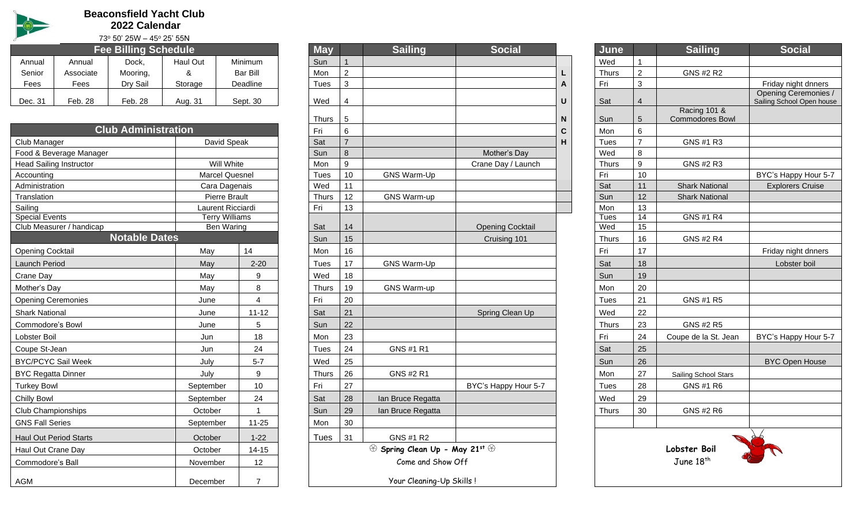

**Beaconsfield Yacht Club 2022 Calendar**

73<sup>o</sup> 50' 25W – 45<sup>o</sup> 25' 55N

|         |           | .                           | .        |          |      |               |                |               |    |              |        |                  |
|---------|-----------|-----------------------------|----------|----------|------|---------------|----------------|---------------|----|--------------|--------|------------------|
|         |           | <b>Fee Billing Schedule</b> |          |          | May  |               | <b>Sailing</b> | <b>Social</b> |    | <b>June</b>  |        | <b>Sailing</b>   |
| Annual  | Annual    | Dock,                       | Haul Out | Minimum  | Sun  |               |                |               |    | Wed          |        |                  |
| Senior  | Associate | Mooring,                    |          | Bar Bill | Mon  | $\mathcal{P}$ |                |               | ь. | <b>Thurs</b> | $\sim$ | <b>GNS #2 R2</b> |
| Fees    | Fees      | Dry Sail                    | Storage  | Deadline | Tues |               |                |               | A  | Fri          | ັບ     |                  |
| Dec. 31 | Feb. 28   | Feb. 28                     | Aug. 31  | Sept. 30 | Wed  | 4             |                |               | U  | Sat          |        |                  |
|         |           |                             |          |          |      |               |                |               |    |              |        |                  |

| <b>Club Administration</b>                 |                       |                | Fri          | 6                            |                    |                         | $\mathbf c$ | Mon   | 6              |                       |                         |
|--------------------------------------------|-----------------------|----------------|--------------|------------------------------|--------------------|-------------------------|-------------|-------|----------------|-----------------------|-------------------------|
| Club Manager                               | David Speak           |                | Sat          | $\overline{7}$               |                    |                         | н           | Tues  | $\overline{7}$ | GNS #1 R3             |                         |
| Food & Beverage Manager                    |                       |                | Sun          | 8                            |                    | Mother's Day            |             | Wed   | 8              |                       |                         |
| <b>Head Sailing Instructor</b>             | Will White            |                | Mon          | 9                            |                    | Crane Day / Launch      |             | Thurs | 9              | GNS #2 R3             |                         |
| Accounting                                 | <b>Marcel Quesnel</b> |                | <b>Tues</b>  | 10                           | <b>GNS Warm-Up</b> |                         |             | Fri   | 10             |                       | BYC's Happy Hour 5-7    |
| Administration                             | Cara Dagenais         |                | Wed          | 11                           |                    |                         |             | Sat   | 11             | <b>Shark National</b> | <b>Explorers Cruise</b> |
| Translation                                | Pierre Brault         |                | <b>Thurs</b> | 12                           | GNS Warm-up        |                         |             | Sun   | 12             | <b>Shark National</b> |                         |
| Sailing                                    | Laurent Ricciardi     |                | Fri          | 13                           |                    |                         |             | Mon   | 13             |                       |                         |
| <b>Special Events</b>                      | <b>Terry Williams</b> |                |              |                              |                    |                         |             | Tues  | 14             | <b>GNS #1 R4</b>      |                         |
| Club Measurer / handicap                   | Ben Waring            |                | Sat          | 14                           |                    | <b>Opening Cocktail</b> |             | Wed   | 15             |                       |                         |
| <b>Notable Dates</b>                       |                       |                | Sun          | 15                           |                    | Cruising 101            |             | Thurs | 16             | <b>GNS #2 R4</b>      |                         |
| <b>Opening Cocktail</b>                    | May                   | 14             | Mon          | 16                           |                    |                         |             | Fri   | 17             |                       | Friday night dnners     |
| <b>Launch Period</b>                       | May                   | $2 - 20$       | Tues         | 17                           | GNS Warm-Up        |                         |             | Sat   | 18             |                       | Lobster boil            |
| Crane Day                                  | May                   | 9              | Wed          | 18                           |                    |                         |             | Sun   | 19             |                       |                         |
| Mother's Day                               | May                   | 8              | Thurs        | 19                           | GNS Warm-up        |                         |             | Mon   | 20             |                       |                         |
| <b>Opening Ceremonies</b>                  | June                  | 4              | Fri          | 20                           |                    |                         |             | Tues  | 21             | GNS #1 R5             |                         |
| <b>Shark National</b>                      | June                  | $11 - 12$      | Sat          | 21                           |                    | Spring Clean Up         |             | Wed   | 22             |                       |                         |
| Commodore's Bowl                           | June                  | 5              | Sun          | 22                           |                    |                         |             | Thurs | 23             | GNS #2 R5             |                         |
| Lobster Boil                               | Jun                   | 18             | Mon          | 23                           |                    |                         |             | Fri   | 24             | Coupe de la St. Jean  | BYC's Happy Hour 5-7    |
| Coupe St-Jean                              | Jun                   | 24             | Tues         | 24                           | GNS #1 R1          |                         |             | Sat   | 25             |                       |                         |
| <b>BYC/PCYC Sail Week</b>                  | July                  | $5 - 7$        | Wed          | 25                           |                    |                         |             | Sun   | 26             |                       | <b>BYC Open House</b>   |
| <b>BYC Regatta Dinner</b>                  | July                  | 9              | Thurs        | 26                           | GNS #2 R1          |                         |             | Mon   | 27             | Sailing School Stars  |                         |
| <b>Turkey Bowl</b>                         | September             | 10             | Fri          | 27                           |                    | BYC's Happy Hour 5-7    |             | Tues  | 28             | GNS #1 R6             |                         |
| <b>Chilly Bowl</b>                         | September             | 24             | Sat          | 28                           | Ian Bruce Regatta  |                         |             | Wed   | 29             |                       |                         |
| <b>Club Championships</b>                  | October               |                | Sun          | 29                           | Ian Bruce Regatta  |                         |             | Thurs | 30             | GNS #2 R6             |                         |
| <b>GNS Fall Series</b>                     | September             | $11 - 25$      | Mon          | 30                           |                    |                         |             |       |                |                       |                         |
| <b>Haul Out Period Starts</b>              | October               | $1 - 22$       | <b>Tues</b>  | 31                           | GNS #1 R2          |                         |             |       |                |                       |                         |
| $14 - 15$<br>Haul Out Crane Day<br>October |                       |                |              | Spring Clean Up - May 21st ® |                    |                         |             |       | Lobster Boil   |                       |                         |
| Commodore's Ball<br>November<br>12         |                       |                |              |                              | Come and Show Off  |                         |             |       |                | June 18 <sup>th</sup> |                         |
| AGM                                        | December              | $\overline{7}$ |              | Your Cleaning-Up Skills!     |                    |                         |             |       |                |                       |                         |
|                                            |                       |                |              |                              |                    |                         |             |       |                |                       |                         |

|                       |                        | <b>Fee Billing Schedule</b> |           |                                            |     | <b>May</b>   |                | <b>Sailing</b>               | <b>Social</b>           |   | June         |                 | <b>Sailing</b>         | <b>Social</b>                                        |
|-----------------------|------------------------|-----------------------------|-----------|--------------------------------------------|-----|--------------|----------------|------------------------------|-------------------------|---|--------------|-----------------|------------------------|------------------------------------------------------|
| nnual\                | Annual                 | Dock,                       | Haul Out  | Minimum                                    | Sun |              | $\mathbf{1}$   |                              |                         |   | Wed          |                 |                        |                                                      |
| Senior                | Associate              | Mooring,                    | &         | <b>Bar Bill</b>                            | Mon |              | $\overline{2}$ |                              |                         |   | <b>Thurs</b> | $\overline{2}$  | GNS #2 R2              |                                                      |
| Fees                  | Fees                   | Dry Sail                    | Storage   | Deadline                                   |     | Tues         | 3              |                              |                         | A | Fri          | 3               |                        | Friday night dnners                                  |
| ec. 31                | Feb. 28                | Feb. 28                     | Aug. 31   | Sept. 30                                   | Wed |              | $\overline{4}$ |                              |                         | U | Sat          | $\overline{4}$  |                        | <b>Opening Ceremonies</b><br>Sailing School Open hou |
|                       |                        |                             |           |                                            |     |              |                |                              |                         |   |              |                 | Racing 101 &           |                                                      |
|                       |                        |                             |           |                                            |     | Thurs        | 5              |                              |                         | N | Sun          | $5\phantom{.0}$ | <b>Commodores Bowl</b> |                                                      |
|                       |                        | <b>Club Administration</b>  |           |                                            | Fri |              | $6\phantom{1}$ |                              |                         | C | Mon          | 6               |                        |                                                      |
| ub Manager            |                        |                             |           | David Speak                                | Sat |              | $\overline{7}$ |                              |                         | н | Tues         | $\overline{7}$  | GNS #1 R3              |                                                      |
|                       | od & Beverage Manager  |                             |           |                                            | Sun |              | 8              |                              | Mother's Day            |   | Wed          | 8               |                        |                                                      |
|                       | ad Sailing Instructor  |                             |           | Will White                                 | Mon |              | 9              |                              | Crane Day / Launch      |   | <b>Thurs</b> | 9               | GNS #2 R3              |                                                      |
| counting              |                        |                             |           | Marcel Quesnel                             |     | Tues         | 10             | GNS Warm-Up                  |                         |   | Fri          | 10              |                        | BYC's Happy Hour 5                                   |
| Iministration         |                        |                             |           | Cara Dagenais                              | Wed |              | 11             |                              |                         |   | Sat          | 11              | <b>Shark National</b>  | <b>Explorers Cruise</b>                              |
| anslation             |                        |                             |           | Pierre Brault                              |     | <b>Thurs</b> | 12             | <b>GNS Warm-up</b>           |                         |   | Sun          | 12              | <b>Shark National</b>  |                                                      |
| iling<br>ecial Events |                        |                             |           | Laurent Ricciardi<br><b>Terry Williams</b> | Fri |              | 13             |                              |                         |   | Mon<br>Tues  | 13<br>14        | <b>GNS #1 R4</b>       |                                                      |
|                       | ub Measurer / handicap |                             |           | Ben Waring                                 | Sat |              | 14             |                              | <b>Opening Cocktail</b> |   | Wed          | 15              |                        |                                                      |
|                       |                        | <b>Notable Dates</b>        |           |                                            | Sun |              | 15             |                              | Cruising 101            |   | Thurs        | 16              | GNS #2 R4              |                                                      |
| ening Cocktail        |                        |                             | May       | 14                                         | Mon |              | 16             |                              |                         |   | Fri          | 17              |                        | Friday night dnners                                  |
| unch Period           |                        |                             | May       | $2 - 20$                                   |     | Tues         | 17             | GNS Warm-Up                  |                         |   | Sat          | 18              |                        | Lobster boil                                         |
| ane Day               |                        |                             | May       | 9                                          | Wed |              | 18             |                              |                         |   | Sun          | 19              |                        |                                                      |
| other's Day           |                        |                             | May       | 8                                          |     | Thurs        | 19             | <b>GNS Warm-up</b>           |                         |   | Mon          | 20              |                        |                                                      |
|                       | ening Ceremonies       |                             | June      | $\overline{4}$                             | Fri |              | 20             |                              |                         |   | <b>Tues</b>  | 21              | GNS #1 R5              |                                                      |
| ark National          |                        |                             | June      | $11 - 12$                                  | Sat |              | 21             |                              | Spring Clean Up         |   | Wed          | 22              |                        |                                                      |
|                       | mmodore's Bowl         |                             | June      | $5\phantom{.0}$                            | Sun |              | 22             |                              |                         |   | <b>Thurs</b> | 23              | GNS #2 R5              |                                                      |
| bster Boil            |                        |                             | Jun       | 18                                         | Mon |              | 23             |                              |                         |   | Fri          | 24              | Coupe de la St. Jean   | BYC's Happy Hour 5                                   |
| upe St-Jean           |                        |                             | Jun       | 24                                         |     | Tues         | 24             | GNS #1 R1                    |                         |   | Sat          | 25              |                        |                                                      |
|                       | 'C/PCYC Sail Week      |                             | July      | $5 - 7$                                    | Wed |              | 25             |                              |                         |   | Sun          | 26              |                        | <b>BYC Open House</b>                                |
|                       | 'C Regatta Dinner      |                             | July      | 9                                          |     | Thurs        | 26             | GNS #2 R1                    |                         |   | Mon          | 27              | Sailing School Stars   |                                                      |
| rkey Bowl             |                        |                             | September | 10                                         | Fri |              | 27             |                              | BYC's Happy Hour 5-7    |   | Tues         | 28              | GNS #1 R6              |                                                      |
| iilly Bowl            |                        |                             | September | 24                                         | Sat |              | 28             | Ian Bruce Regatta            |                         |   | Wed          | 29              |                        |                                                      |
|                       | ub Championships       |                             | October   |                                            | Sun |              | 29             | Ian Bruce Regatta            |                         |   | Thurs        | 30              | GNS #2 R6              |                                                      |
| <b>IS Fall Series</b> |                        |                             | September | 11-25                                      | Mon |              | 30             |                              |                         |   |              |                 |                        |                                                      |
|                       | ul Out Period Starts   |                             | October   | $1 - 22$                                   |     | Tues         | 31             | GNS #1 R2                    |                         |   |              |                 |                        |                                                      |
|                       | ul Out Crane Day       |                             | October   | $14 - 15$                                  |     |              |                | Spring Clean Up - May 21st & |                         |   |              |                 | Lobster Boil           |                                                      |
| mmodore's Ball        |                        |                             | November  | 12                                         |     |              |                | Come and Show Off            |                         |   |              |                 | June 18 <sup>th</sup>  |                                                      |
| эΜ                    |                        |                             | December  | $\overline{7}$                             |     |              |                | Your Cleaning-Up Skills!     |                         |   |              |                 |                        |                                                      |
|                       |                        |                             |           |                                            |     |              |                |                              |                         |   |              |                 |                        |                                                      |

| <b>Social</b>     |   | June               |                | <b>Sailing</b>                             | <b>Social</b>                                            |
|-------------------|---|--------------------|----------------|--------------------------------------------|----------------------------------------------------------|
|                   |   | Wed                | $\mathbf{1}$   |                                            |                                                          |
|                   | L | <b>Thurs</b>       | $\overline{c}$ | GNS #2 R2                                  |                                                          |
|                   | Α | Fri                | 3              |                                            | Friday night dnners                                      |
|                   | U | Sat                | $\overline{4}$ |                                            | <b>Opening Ceremonies /</b><br>Sailing School Open house |
|                   | N | Sun                | 5              | <b>Racing 101 &amp;</b><br>Commodores Bowl |                                                          |
|                   | C | Mon                | 6              |                                            |                                                          |
|                   | н | Tues               | $\overline{7}$ | GNS #1 R3                                  |                                                          |
| Mother's Day      |   | Wed                | 8              |                                            |                                                          |
| ane Day / Launch  |   | <b>Thurs</b>       | 9              | GNS #2 R3                                  |                                                          |
|                   |   | Fri                | 10             |                                            | BYC's Happy Hour 5-7                                     |
|                   |   | Sat                | 11             | <b>Shark National</b>                      | <b>Explorers Cruise</b>                                  |
|                   |   | Sun                | 12             | <b>Shark National</b>                      |                                                          |
|                   |   | Mon                | 13             |                                            |                                                          |
|                   |   | <b>Tues</b><br>Wed | 14<br>15       | <b>GNS #1 R4</b>                           |                                                          |
| Opening Cocktail  |   |                    |                |                                            |                                                          |
| Cruising 101      |   | <b>Thurs</b>       | 16             | GNS #2 R4                                  |                                                          |
|                   |   | Fri                | 17             |                                            | Friday night dnners                                      |
|                   |   | Sat                | 18             |                                            | Lobster boil                                             |
|                   |   | Sun                | 19             |                                            |                                                          |
|                   |   | Mon                | 20             |                                            |                                                          |
|                   |   | Tues               | 21             | GNS #1 R5                                  |                                                          |
| Spring Clean Up   |   | Wed                | 22             |                                            |                                                          |
|                   |   | <b>Thurs</b>       | 23             | GNS #2 R5                                  |                                                          |
|                   |   | Fri                | 24             | Coupe de la St. Jean                       | BYC's Happy Hour 5-7                                     |
|                   |   | Sat                | 25             |                                            |                                                          |
|                   |   | Sun                | 26             |                                            | <b>BYC Open House</b>                                    |
|                   |   | Mon                | 27             | Sailing School Stars                       |                                                          |
| "> Happy Hour 5-7 |   | <b>Tues</b>        | 28             | GNS #1 R6                                  |                                                          |
|                   |   | Wed                | 29             |                                            |                                                          |
|                   |   | <b>Thurs</b>       | 30             | GNS #2 R6                                  |                                                          |
|                   |   |                    |                |                                            |                                                          |
| st @              |   |                    |                | Lobster Boil<br>June 18 <sup>th</sup>      |                                                          |